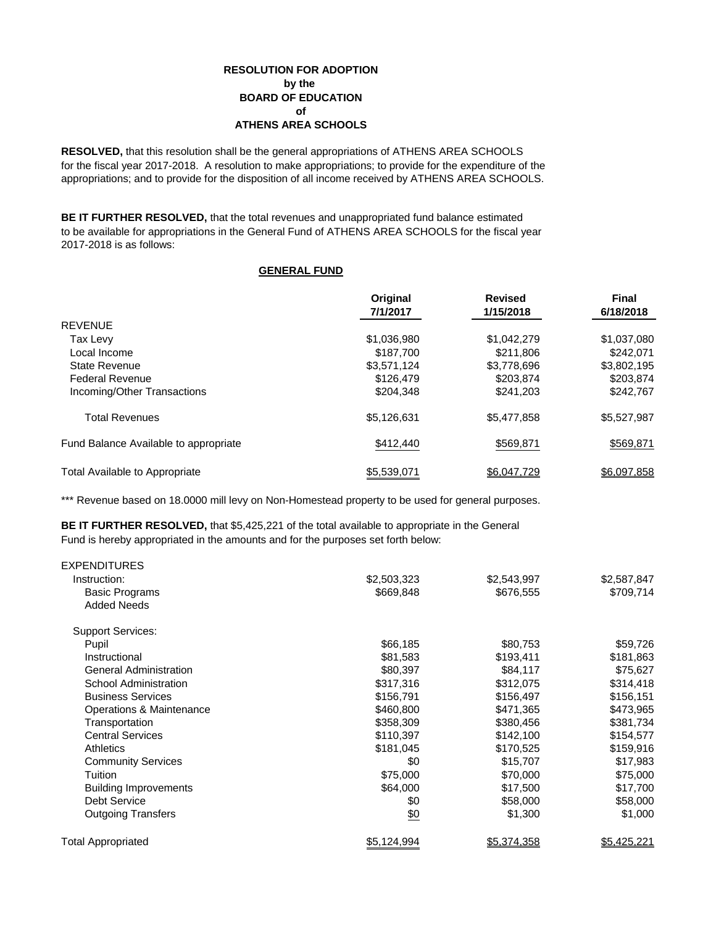## **RESOLUTION FOR ADOPTION by the BOARD OF EDUCATION of ATHENS AREA SCHOOLS**

**RESOLVED,** that this resolution shall be the general appropriations of ATHENS AREA SCHOOLS for the fiscal year 2017-2018. A resolution to make appropriations; to provide for the expenditure of the appropriations; and to provide for the disposition of all income received by ATHENS AREA SCHOOLS.

**BE IT FURTHER RESOLVED,** that the total revenues and unappropriated fund balance estimated to be available for appropriations in the General Fund of ATHENS AREA SCHOOLS for the fiscal year 2017-2018 is as follows:

## **GENERAL FUND**

|                                       | Original<br>7/1/2017 | <b>Revised</b><br>1/15/2018 | <b>Final</b><br>6/18/2018 |
|---------------------------------------|----------------------|-----------------------------|---------------------------|
| <b>REVENUE</b>                        |                      |                             |                           |
| Tax Levy                              | \$1,036,980          | \$1,042,279                 | \$1,037,080               |
| Local Income                          | \$187,700            | \$211,806                   | \$242,071                 |
| <b>State Revenue</b>                  | \$3,571,124          | \$3,778,696                 | \$3,802,195               |
| <b>Federal Revenue</b>                | \$126,479            | \$203,874                   | \$203,874                 |
| Incoming/Other Transactions           | \$204,348            | \$241,203                   | \$242,767                 |
| <b>Total Revenues</b>                 | \$5,126,631          | \$5,477,858                 | \$5,527,987               |
| Fund Balance Available to appropriate | \$412,440            | \$569,871                   | \$569,871                 |
| <b>Total Available to Appropriate</b> | \$5,539,071          | \$6,047,729                 | \$6,097,858               |

\*\*\* Revenue based on 18.0000 mill levy on Non-Homestead property to be used for general purposes.

**BE IT FURTHER RESOLVED,** that \$5,425,221 of the total available to appropriate in the General Fund is hereby appropriated in the amounts and for the purposes set forth below:

| <b>EXPENDITURES</b>           |                   |             |             |
|-------------------------------|-------------------|-------------|-------------|
| Instruction:                  | \$2,503,323       | \$2,543,997 | \$2,587,847 |
| <b>Basic Programs</b>         | \$669,848         | \$676,555   | \$709,714   |
| <b>Added Needs</b>            |                   |             |             |
| <b>Support Services:</b>      |                   |             |             |
| Pupil                         | \$66,185          | \$80,753    | \$59,726    |
| Instructional                 | \$81,583          | \$193,411   | \$181,863   |
| <b>General Administration</b> | \$80,397          | \$84,117    | \$75,627    |
| <b>School Administration</b>  | \$317,316         | \$312,075   | \$314,418   |
| <b>Business Services</b>      | \$156,791         | \$156,497   | \$156,151   |
| Operations & Maintenance      | \$460,800         | \$471,365   | \$473,965   |
| Transportation                | \$358,309         | \$380,456   | \$381,734   |
| <b>Central Services</b>       | \$110,397         | \$142,100   | \$154,577   |
| <b>Athletics</b>              | \$181,045         | \$170,525   | \$159,916   |
| <b>Community Services</b>     | \$0               | \$15,707    | \$17,983    |
| Tuition                       | \$75,000          | \$70,000    | \$75,000    |
| <b>Building Improvements</b>  | \$64,000          | \$17,500    | \$17,700    |
| <b>Debt Service</b>           | \$0               | \$58,000    | \$58,000    |
| <b>Outgoing Transfers</b>     | $\underline{\$0}$ | \$1,300     | \$1,000     |
| <b>Total Appropriated</b>     | \$5,124,994       | \$5,374,358 | \$5,425,221 |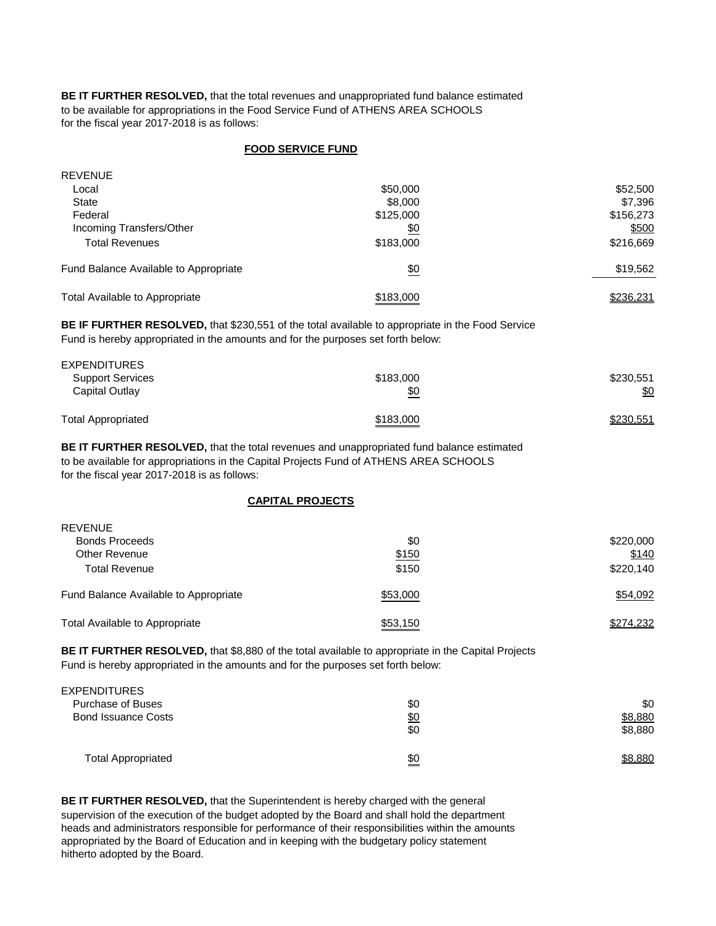**BE IT FURTHER RESOLVED,** that the total revenues and unappropriated fund balance estimated to be available for appropriations in the Food Service Fund of ATHENS AREA SCHOOLS for the fiscal year 2017-2018 is as follows:

## **FOOD SERVICE FUND**

| <b>REVENUE</b>                        |                   |           |
|---------------------------------------|-------------------|-----------|
| Local                                 | \$50,000          | \$52,500  |
| <b>State</b>                          | \$8,000           | \$7,396   |
| Federal                               | \$125,000         | \$156,273 |
| Incoming Transfers/Other              | \$0               | \$500     |
| <b>Total Revenues</b>                 | \$183,000         | \$216,669 |
| Fund Balance Available to Appropriate | $\underline{\$0}$ | \$19,562  |
| Total Available to Appropriate        | \$183,000         | \$236.231 |

**BE IF FURTHER RESOLVED,** that \$230,551 of the total available to appropriate in the Food Service Fund is hereby appropriated in the amounts and for the purposes set forth below:

| <b>EXPENDITURES</b><br><b>Support Services</b><br>Capital Outlay | \$183,000<br><u>\$0</u> | \$230,551<br><u>\$0</u> |  |
|------------------------------------------------------------------|-------------------------|-------------------------|--|
| <b>Total Appropriated</b>                                        | \$183,000               | \$230,551               |  |

**BE IT FURTHER RESOLVED,** that the total revenues and unappropriated fund balance estimated to be available for appropriations in the Capital Projects Fund of ATHENS AREA SCHOOLS for the fiscal year 2017-2018 is as follows:

## **CAPITAL PROJECTS**

| <b>REVENUE</b>                        |          |           |
|---------------------------------------|----------|-----------|
| <b>Bonds Proceeds</b>                 | \$0      | \$220,000 |
| <b>Other Revenue</b>                  | \$150    | \$140     |
| <b>Total Revenue</b>                  | \$150    | \$220,140 |
| Fund Balance Available to Appropriate | \$53,000 | \$54,092  |
| Total Available to Appropriate        | \$53,150 | \$274,232 |

**BE IT FURTHER RESOLVED,** that \$8,880 of the total available to appropriate in the Capital Projects Fund is hereby appropriated in the amounts and for the purposes set forth below:

| <b>EXPENDITURES</b>        |                               |         |
|----------------------------|-------------------------------|---------|
| <b>Purchase of Buses</b>   | \$0                           | \$0     |
| <b>Bond Issuance Costs</b> | \$0                           | \$8,880 |
|                            | \$0                           | \$8,880 |
| <b>Total Appropriated</b>  | $\underline{\underline{\$0}}$ | \$8,880 |

**BE IT FURTHER RESOLVED,** that the Superintendent is hereby charged with the general supervision of the execution of the budget adopted by the Board and shall hold the department heads and administrators responsible for performance of their responsibilities within the amounts appropriated by the Board of Education and in keeping with the budgetary policy statement hitherto adopted by the Board.